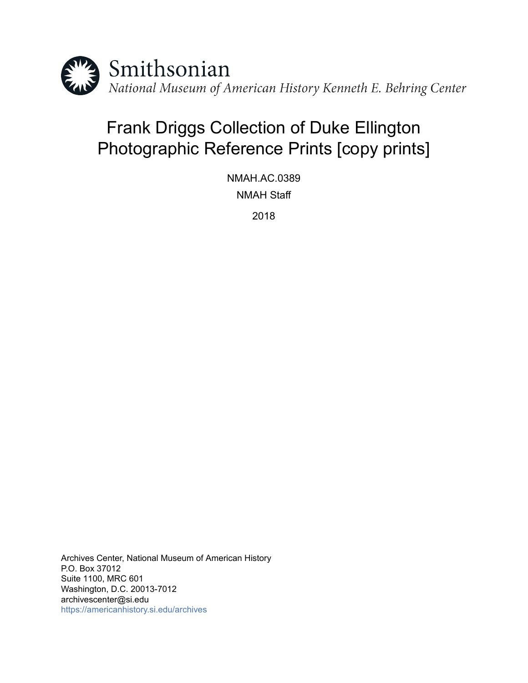

# Frank Driggs Collection of Duke Ellington Photographic Reference Prints [copy prints]

NMAH.AC.0389 NMAH Staff

2018

Archives Center, National Museum of American History P.O. Box 37012 Suite 1100, MRC 601 Washington, D.C. 20013-7012 archivescenter@si.edu <https://americanhistory.si.edu/archives>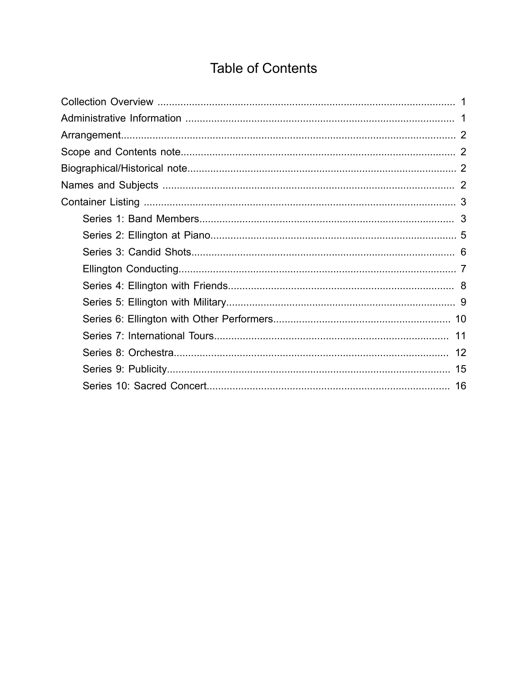## **Table of Contents**

<span id="page-1-0"></span>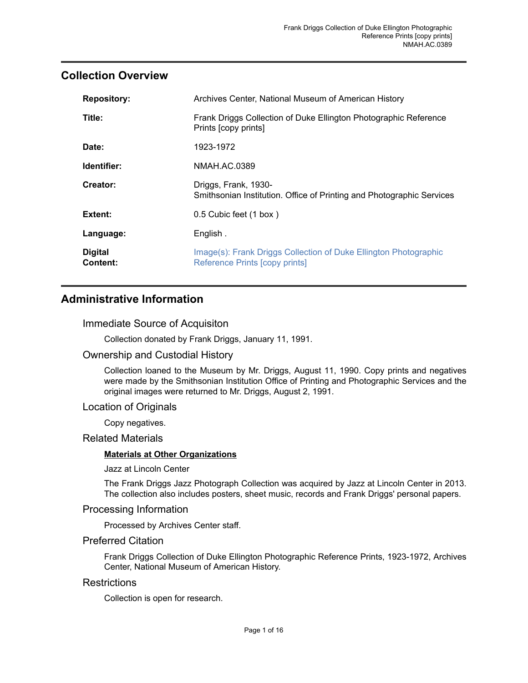#### <span id="page-2-0"></span>**Collection Overview**

| <b>Repository:</b>         | Archives Center, National Museum of American History                                               |
|----------------------------|----------------------------------------------------------------------------------------------------|
| Title:                     | Frank Driggs Collection of Duke Ellington Photographic Reference<br>Prints [copy prints]           |
| Date:                      | 1923-1972                                                                                          |
| Identifier:                | NMAH.AC.0389                                                                                       |
| Creator:                   | Driggs, Frank, 1930-<br>Smithsonian Institution. Office of Printing and Photographic Services      |
| Extent:                    | 0.5 Cubic feet (1 box)                                                                             |
| Language:                  | English.                                                                                           |
| <b>Digital</b><br>Content: | Image(s): Frank Driggs Collection of Duke Ellington Photographic<br>Reference Prints [copy prints] |

### <span id="page-2-1"></span>**Administrative Information**

#### Immediate Source of Acquisiton

Collection donated by Frank Driggs, January 11, 1991.

#### Ownership and Custodial History

Collection loaned to the Museum by Mr. Driggs, August 11, 1990. Copy prints and negatives were made by the Smithsonian Institution Office of Printing and Photographic Services and the original images were returned to Mr. Driggs, August 2, 1991.

#### Location of Originals

Copy negatives.

#### Related Materials

#### **Materials at Other Organizations**

Jazz at Lincoln Center

The Frank Driggs Jazz Photograph Collection was acquired by Jazz at Lincoln Center in 2013. The collection also includes posters, sheet music, records and Frank Driggs' personal papers.

#### Processing Information

Processed by Archives Center staff.

#### Preferred Citation

Frank Driggs Collection of Duke Ellington Photographic Reference Prints, 1923-1972, Archives Center, National Museum of American History.

#### **Restrictions**

Collection is open for research.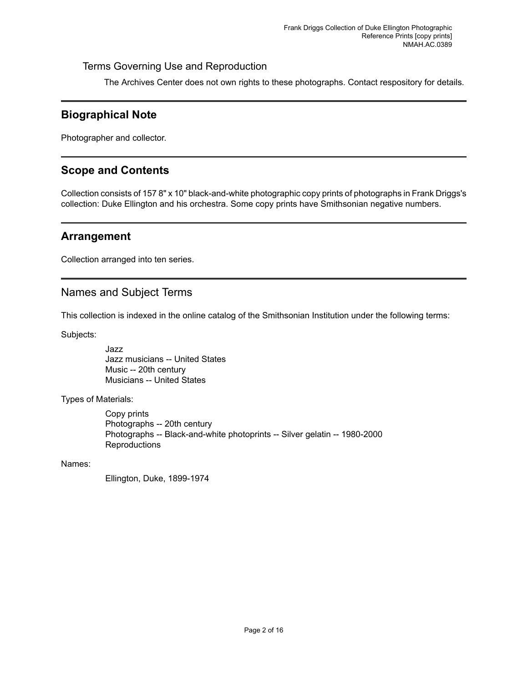#### Terms Governing Use and Reproduction

The Archives Center does not own rights to these photographs. Contact respository for details.

### <span id="page-3-2"></span>**Biographical Note**

Photographer and collector.

### <span id="page-3-1"></span>**Scope and Contents**

Collection consists of 157 8" x 10" black-and-white photographic copy prints of photographs in Frank Driggs's collection: Duke Ellington and his orchestra. Some copy prints have Smithsonian negative numbers.

### <span id="page-3-0"></span>**Arrangement**

Collection arranged into ten series.

#### <span id="page-3-3"></span>Names and Subject Terms

This collection is indexed in the online catalog of the Smithsonian Institution under the following terms:

Subjects:

Jazz Jazz musicians -- United States Music -- 20th century Musicians -- United States

Types of Materials:

Copy prints Photographs -- 20th century Photographs -- Black-and-white photoprints -- Silver gelatin -- 1980-2000 **Reproductions** 

Names:

Ellington, Duke, 1899-1974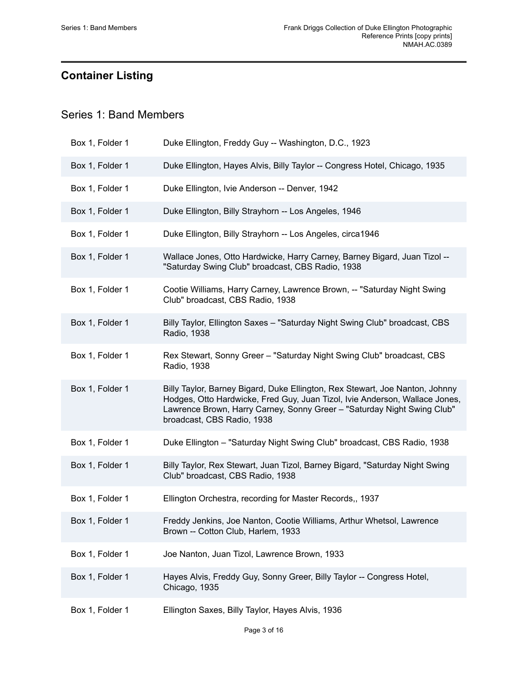## <span id="page-4-0"></span>**Container Listing**

### <span id="page-4-1"></span>Series 1: Band Members

| Box 1, Folder 1 | Duke Ellington, Freddy Guy -- Washington, D.C., 1923                                                                                                                                                                                                                 |
|-----------------|----------------------------------------------------------------------------------------------------------------------------------------------------------------------------------------------------------------------------------------------------------------------|
| Box 1, Folder 1 | Duke Ellington, Hayes Alvis, Billy Taylor -- Congress Hotel, Chicago, 1935                                                                                                                                                                                           |
| Box 1, Folder 1 | Duke Ellington, Ivie Anderson -- Denver, 1942                                                                                                                                                                                                                        |
| Box 1, Folder 1 | Duke Ellington, Billy Strayhorn -- Los Angeles, 1946                                                                                                                                                                                                                 |
| Box 1, Folder 1 | Duke Ellington, Billy Strayhorn -- Los Angeles, circa1946                                                                                                                                                                                                            |
| Box 1, Folder 1 | Wallace Jones, Otto Hardwicke, Harry Carney, Barney Bigard, Juan Tizol --<br>"Saturday Swing Club" broadcast, CBS Radio, 1938                                                                                                                                        |
| Box 1, Folder 1 | Cootie Williams, Harry Carney, Lawrence Brown, -- "Saturday Night Swing<br>Club" broadcast, CBS Radio, 1938                                                                                                                                                          |
| Box 1, Folder 1 | Billy Taylor, Ellington Saxes - "Saturday Night Swing Club" broadcast, CBS<br>Radio, 1938                                                                                                                                                                            |
| Box 1, Folder 1 | Rex Stewart, Sonny Greer - "Saturday Night Swing Club" broadcast, CBS<br>Radio, 1938                                                                                                                                                                                 |
| Box 1, Folder 1 | Billy Taylor, Barney Bigard, Duke Ellington, Rex Stewart, Joe Nanton, Johnny<br>Hodges, Otto Hardwicke, Fred Guy, Juan Tizol, Ivie Anderson, Wallace Jones,<br>Lawrence Brown, Harry Carney, Sonny Greer - "Saturday Night Swing Club"<br>broadcast, CBS Radio, 1938 |
| Box 1, Folder 1 | Duke Ellington - "Saturday Night Swing Club" broadcast, CBS Radio, 1938                                                                                                                                                                                              |
| Box 1, Folder 1 | Billy Taylor, Rex Stewart, Juan Tizol, Barney Bigard, "Saturday Night Swing<br>Club" broadcast, CBS Radio, 1938                                                                                                                                                      |
| Box 1, Folder 1 | Ellington Orchestra, recording for Master Records,, 1937                                                                                                                                                                                                             |
| Box 1, Folder 1 | Freddy Jenkins, Joe Nanton, Cootie Williams, Arthur Whetsol, Lawrence<br>Brown -- Cotton Club, Harlem, 1933                                                                                                                                                          |
| Box 1, Folder 1 | Joe Nanton, Juan Tizol, Lawrence Brown, 1933                                                                                                                                                                                                                         |
| Box 1, Folder 1 | Hayes Alvis, Freddy Guy, Sonny Greer, Billy Taylor -- Congress Hotel,<br>Chicago, 1935                                                                                                                                                                               |
| Box 1, Folder 1 | Ellington Saxes, Billy Taylor, Hayes Alvis, 1936                                                                                                                                                                                                                     |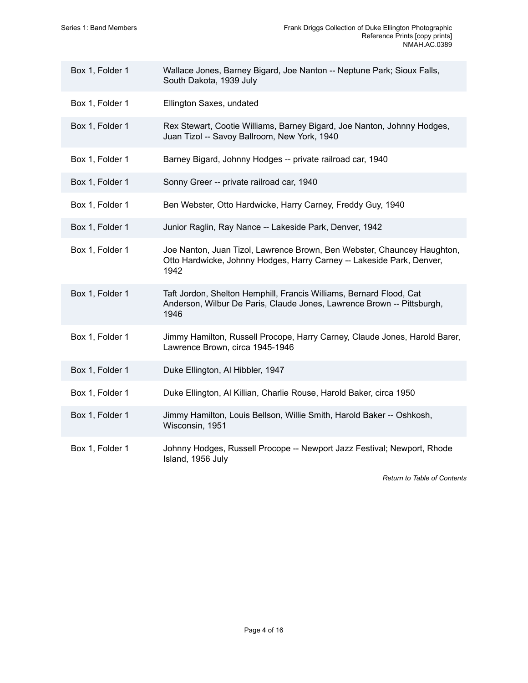| Box 1, Folder 1 | Wallace Jones, Barney Bigard, Joe Nanton -- Neptune Park; Sioux Falls,<br>South Dakota, 1939 July                                                        |
|-----------------|----------------------------------------------------------------------------------------------------------------------------------------------------------|
| Box 1, Folder 1 | Ellington Saxes, undated                                                                                                                                 |
| Box 1, Folder 1 | Rex Stewart, Cootie Williams, Barney Bigard, Joe Nanton, Johnny Hodges,<br>Juan Tizol -- Savoy Ballroom, New York, 1940                                  |
| Box 1, Folder 1 | Barney Bigard, Johnny Hodges -- private railroad car, 1940                                                                                               |
| Box 1, Folder 1 | Sonny Greer -- private railroad car, 1940                                                                                                                |
| Box 1, Folder 1 | Ben Webster, Otto Hardwicke, Harry Carney, Freddy Guy, 1940                                                                                              |
| Box 1, Folder 1 | Junior Raglin, Ray Nance -- Lakeside Park, Denver, 1942                                                                                                  |
| Box 1, Folder 1 | Joe Nanton, Juan Tizol, Lawrence Brown, Ben Webster, Chauncey Haughton,<br>Otto Hardwicke, Johnny Hodges, Harry Carney -- Lakeside Park, Denver,<br>1942 |
| Box 1, Folder 1 | Taft Jordon, Shelton Hemphill, Francis Williams, Bernard Flood, Cat<br>Anderson, Wilbur De Paris, Claude Jones, Lawrence Brown -- Pittsburgh,<br>1946    |
| Box 1, Folder 1 | Jimmy Hamilton, Russell Procope, Harry Carney, Claude Jones, Harold Barer,<br>Lawrence Brown, circa 1945-1946                                            |
| Box 1, Folder 1 | Duke Ellington, Al Hibbler, 1947                                                                                                                         |
| Box 1, Folder 1 | Duke Ellington, Al Killian, Charlie Rouse, Harold Baker, circa 1950                                                                                      |
| Box 1, Folder 1 | Jimmy Hamilton, Louis Bellson, Willie Smith, Harold Baker -- Oshkosh,<br>Wisconsin, 1951                                                                 |
| Box 1, Folder 1 | Johnny Hodges, Russell Procope -- Newport Jazz Festival; Newport, Rhode<br>Island, 1956 July                                                             |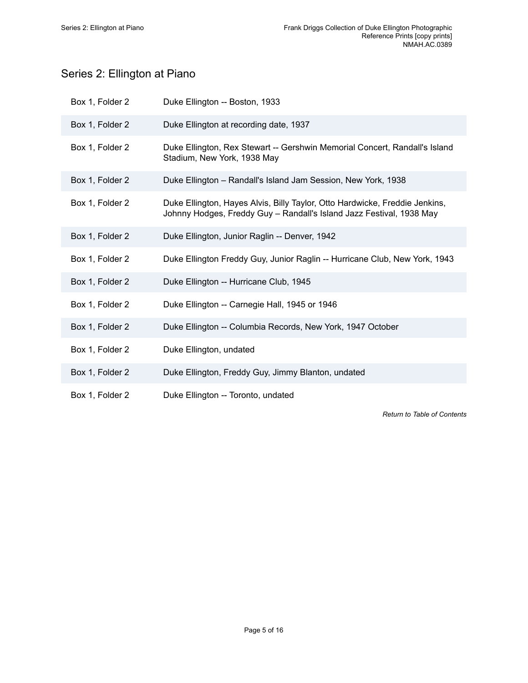## <span id="page-6-0"></span>Series 2: Ellington at Piano

| Box 1, Folder 2 | Duke Ellington -- Boston, 1933                                                                                                                      |
|-----------------|-----------------------------------------------------------------------------------------------------------------------------------------------------|
| Box 1, Folder 2 | Duke Ellington at recording date, 1937                                                                                                              |
| Box 1, Folder 2 | Duke Ellington, Rex Stewart -- Gershwin Memorial Concert, Randall's Island<br>Stadium, New York, 1938 May                                           |
| Box 1, Folder 2 | Duke Ellington - Randall's Island Jam Session, New York, 1938                                                                                       |
| Box 1, Folder 2 | Duke Ellington, Hayes Alvis, Billy Taylor, Otto Hardwicke, Freddie Jenkins,<br>Johnny Hodges, Freddy Guy - Randall's Island Jazz Festival, 1938 May |
| Box 1, Folder 2 | Duke Ellington, Junior Raglin -- Denver, 1942                                                                                                       |
| Box 1, Folder 2 | Duke Ellington Freddy Guy, Junior Raglin -- Hurricane Club, New York, 1943                                                                          |
| Box 1, Folder 2 | Duke Ellington -- Hurricane Club, 1945                                                                                                              |
| Box 1, Folder 2 | Duke Ellington -- Carnegie Hall, 1945 or 1946                                                                                                       |
| Box 1, Folder 2 | Duke Ellington -- Columbia Records, New York, 1947 October                                                                                          |
| Box 1, Folder 2 | Duke Ellington, undated                                                                                                                             |
| Box 1, Folder 2 | Duke Ellington, Freddy Guy, Jimmy Blanton, undated                                                                                                  |
| Box 1, Folder 2 | Duke Ellington -- Toronto, undated                                                                                                                  |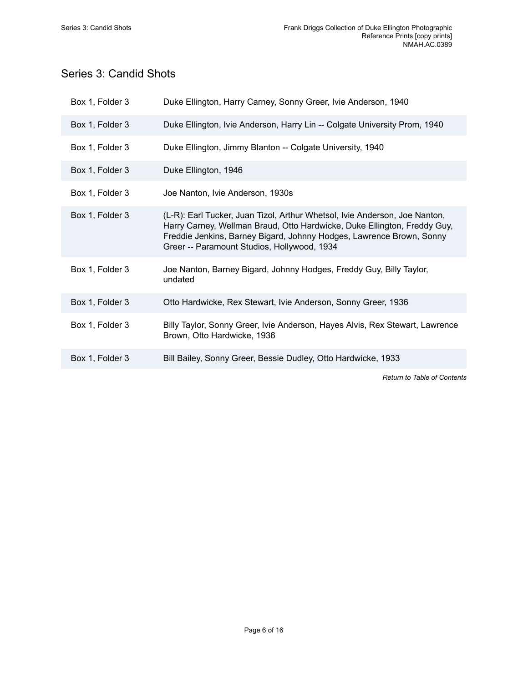### <span id="page-7-0"></span>Series 3: Candid Shots

| Box 1, Folder 3 | Duke Ellington, Harry Carney, Sonny Greer, Ivie Anderson, 1940                                                                                                                                                                                                                |
|-----------------|-------------------------------------------------------------------------------------------------------------------------------------------------------------------------------------------------------------------------------------------------------------------------------|
| Box 1, Folder 3 | Duke Ellington, Ivie Anderson, Harry Lin -- Colgate University Prom, 1940                                                                                                                                                                                                     |
| Box 1, Folder 3 | Duke Ellington, Jimmy Blanton -- Colgate University, 1940                                                                                                                                                                                                                     |
| Box 1, Folder 3 | Duke Ellington, 1946                                                                                                                                                                                                                                                          |
| Box 1, Folder 3 | Joe Nanton, Ivie Anderson, 1930s                                                                                                                                                                                                                                              |
| Box 1, Folder 3 | (L-R): Earl Tucker, Juan Tizol, Arthur Whetsol, Ivie Anderson, Joe Nanton,<br>Harry Carney, Wellman Braud, Otto Hardwicke, Duke Ellington, Freddy Guy,<br>Freddie Jenkins, Barney Bigard, Johnny Hodges, Lawrence Brown, Sonny<br>Greer -- Paramount Studios, Hollywood, 1934 |
| Box 1, Folder 3 | Joe Nanton, Barney Bigard, Johnny Hodges, Freddy Guy, Billy Taylor,<br>undated                                                                                                                                                                                                |
| Box 1, Folder 3 | Otto Hardwicke, Rex Stewart, Ivie Anderson, Sonny Greer, 1936                                                                                                                                                                                                                 |
| Box 1, Folder 3 | Billy Taylor, Sonny Greer, Ivie Anderson, Hayes Alvis, Rex Stewart, Lawrence<br>Brown, Otto Hardwicke, 1936                                                                                                                                                                   |
| Box 1, Folder 3 | Bill Bailey, Sonny Greer, Bessie Dudley, Otto Hardwicke, 1933                                                                                                                                                                                                                 |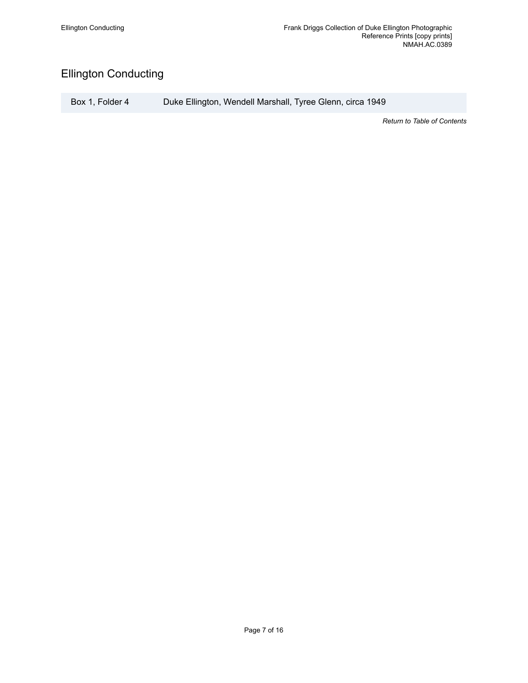## <span id="page-8-0"></span>Ellington Conducting

Box 1, Folder 4 Duke Ellington, Wendell Marshall, Tyree Glenn, circa 1949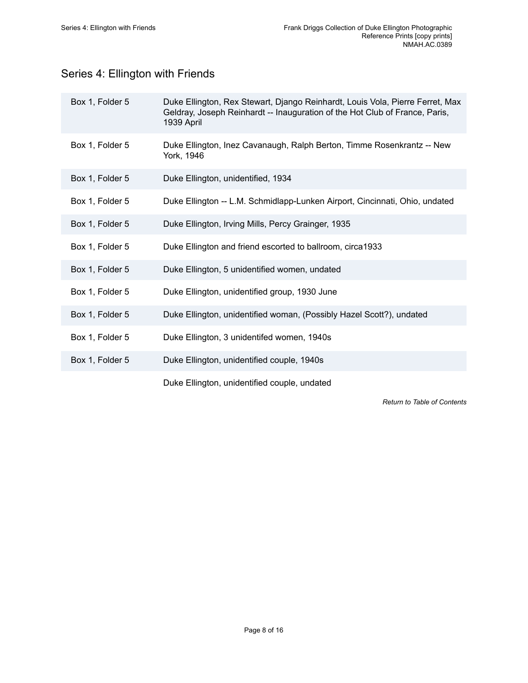## <span id="page-9-0"></span>Series 4: Ellington with Friends

| Box 1, Folder 5 | Duke Ellington, Rex Stewart, Django Reinhardt, Louis Vola, Pierre Ferret, Max<br>Geldray, Joseph Reinhardt -- Inauguration of the Hot Club of France, Paris,<br>1939 April |
|-----------------|----------------------------------------------------------------------------------------------------------------------------------------------------------------------------|
| Box 1, Folder 5 | Duke Ellington, Inez Cavanaugh, Ralph Berton, Timme Rosenkrantz -- New<br>York, 1946                                                                                       |
| Box 1, Folder 5 | Duke Ellington, unidentified, 1934                                                                                                                                         |
| Box 1, Folder 5 | Duke Ellington -- L.M. Schmidlapp-Lunken Airport, Cincinnati, Ohio, undated                                                                                                |
| Box 1, Folder 5 | Duke Ellington, Irving Mills, Percy Grainger, 1935                                                                                                                         |
| Box 1, Folder 5 | Duke Ellington and friend escorted to ballroom, circa1933                                                                                                                  |
| Box 1, Folder 5 | Duke Ellington, 5 unidentified women, undated                                                                                                                              |
| Box 1, Folder 5 | Duke Ellington, unidentified group, 1930 June                                                                                                                              |
| Box 1, Folder 5 | Duke Ellington, unidentified woman, (Possibly Hazel Scott?), undated                                                                                                       |
| Box 1, Folder 5 | Duke Ellington, 3 unidentifed women, 1940s                                                                                                                                 |
| Box 1, Folder 5 | Duke Ellington, unidentified couple, 1940s                                                                                                                                 |
|                 | Duke Ellington, unidentified couple, undated                                                                                                                               |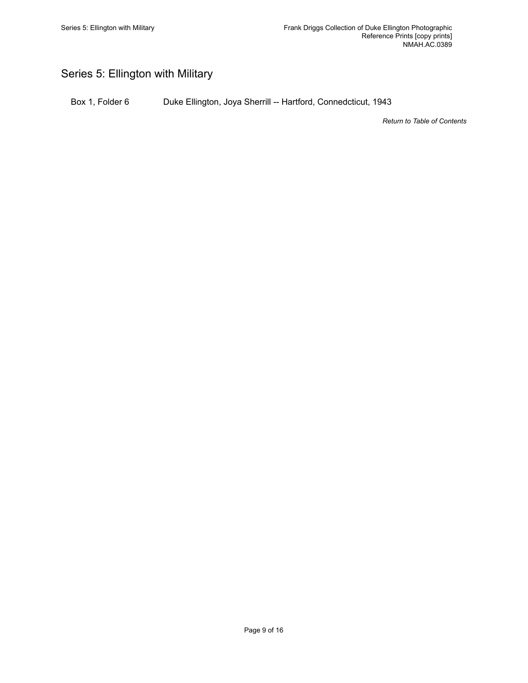## <span id="page-10-0"></span>Series 5: Ellington with Military

Box 1, Folder 6 Duke Ellington, Joya Sherrill -- Hartford, Connedcticut, 1943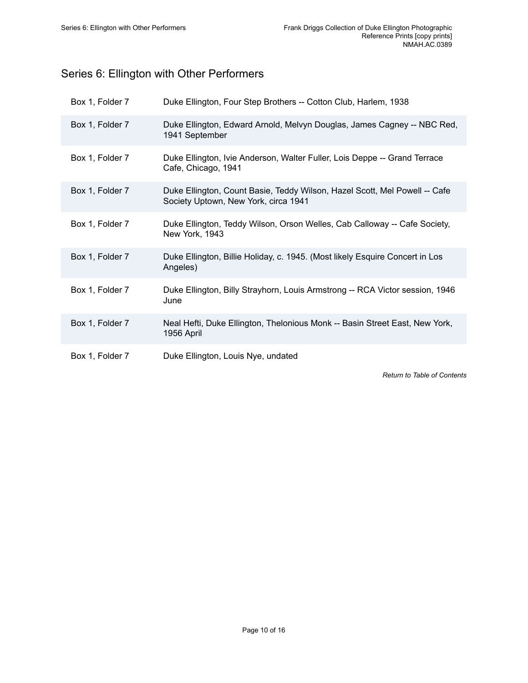## <span id="page-11-0"></span>Series 6: Ellington with Other Performers

| Box 1, Folder 7 | Duke Ellington, Four Step Brothers -- Cotton Club, Harlem, 1938                                                    |
|-----------------|--------------------------------------------------------------------------------------------------------------------|
| Box 1, Folder 7 | Duke Ellington, Edward Arnold, Melvyn Douglas, James Cagney -- NBC Red,<br>1941 September                          |
| Box 1, Folder 7 | Duke Ellington, Ivie Anderson, Walter Fuller, Lois Deppe -- Grand Terrace<br>Cafe, Chicago, 1941                   |
| Box 1, Folder 7 | Duke Ellington, Count Basie, Teddy Wilson, Hazel Scott, Mel Powell -- Cafe<br>Society Uptown, New York, circa 1941 |
| Box 1, Folder 7 | Duke Ellington, Teddy Wilson, Orson Welles, Cab Calloway -- Cafe Society,<br>New York, 1943                        |
| Box 1, Folder 7 | Duke Ellington, Billie Holiday, c. 1945. (Most likely Esquire Concert in Los<br>Angeles)                           |
| Box 1, Folder 7 | Duke Ellington, Billy Strayhorn, Louis Armstrong -- RCA Victor session, 1946<br>June                               |
| Box 1, Folder 7 | Neal Hefti, Duke Ellington, Thelonious Monk -- Basin Street East, New York,<br>1956 April                          |
| Box 1, Folder 7 | Duke Ellington, Louis Nye, undated                                                                                 |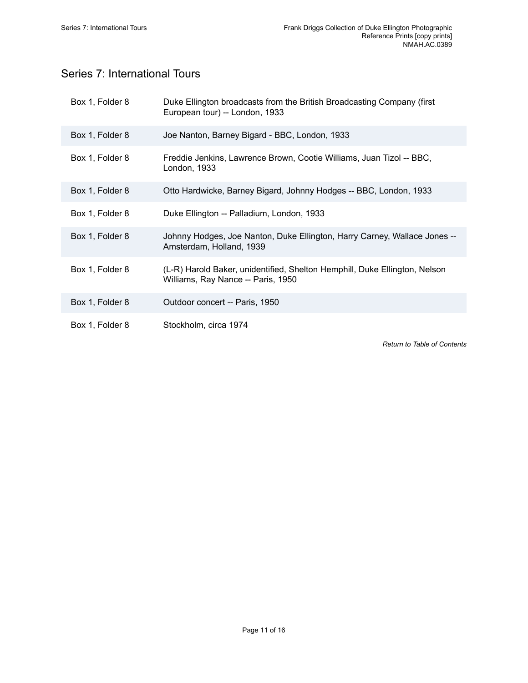## <span id="page-12-0"></span>Series 7: International Tours

| Box 1, Folder 8 | Duke Ellington broadcasts from the British Broadcasting Company (first<br>European tour) -- London, 1933         |
|-----------------|------------------------------------------------------------------------------------------------------------------|
| Box 1, Folder 8 | Joe Nanton, Barney Bigard - BBC, London, 1933                                                                    |
| Box 1, Folder 8 | Freddie Jenkins, Lawrence Brown, Cootie Williams, Juan Tizol -- BBC,<br>London, 1933                             |
| Box 1, Folder 8 | Otto Hardwicke, Barney Bigard, Johnny Hodges -- BBC, London, 1933                                                |
| Box 1, Folder 8 | Duke Ellington -- Palladium, London, 1933                                                                        |
| Box 1, Folder 8 | Johnny Hodges, Joe Nanton, Duke Ellington, Harry Carney, Wallace Jones --<br>Amsterdam, Holland, 1939            |
| Box 1, Folder 8 | (L-R) Harold Baker, unidentified, Shelton Hemphill, Duke Ellington, Nelson<br>Williams, Ray Nance -- Paris, 1950 |
| Box 1, Folder 8 | Outdoor concert -- Paris, 1950                                                                                   |
| Box 1, Folder 8 | Stockholm, circa 1974                                                                                            |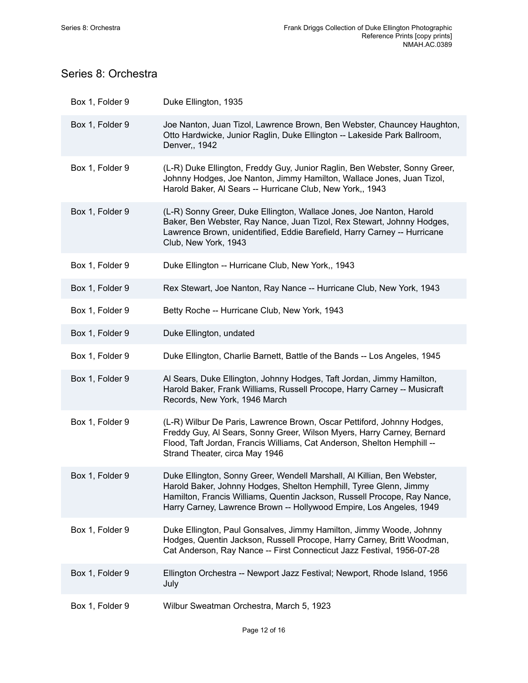## <span id="page-13-0"></span>Series 8: Orchestra

| Box 1, Folder 9 | Duke Ellington, 1935                                                                                                                                                                                                                                                                            |
|-----------------|-------------------------------------------------------------------------------------------------------------------------------------------------------------------------------------------------------------------------------------------------------------------------------------------------|
| Box 1, Folder 9 | Joe Nanton, Juan Tizol, Lawrence Brown, Ben Webster, Chauncey Haughton,<br>Otto Hardwicke, Junior Raglin, Duke Ellington -- Lakeside Park Ballroom,<br>Denver,, 1942                                                                                                                            |
| Box 1, Folder 9 | (L-R) Duke Ellington, Freddy Guy, Junior Raglin, Ben Webster, Sonny Greer,<br>Johnny Hodges, Joe Nanton, Jimmy Hamilton, Wallace Jones, Juan Tizol,<br>Harold Baker, Al Sears -- Hurricane Club, New York,, 1943                                                                                |
| Box 1, Folder 9 | (L-R) Sonny Greer, Duke Ellington, Wallace Jones, Joe Nanton, Harold<br>Baker, Ben Webster, Ray Nance, Juan Tizol, Rex Stewart, Johnny Hodges,<br>Lawrence Brown, unidentified, Eddie Barefield, Harry Carney -- Hurricane<br>Club, New York, 1943                                              |
| Box 1, Folder 9 | Duke Ellington -- Hurricane Club, New York,, 1943                                                                                                                                                                                                                                               |
| Box 1, Folder 9 | Rex Stewart, Joe Nanton, Ray Nance -- Hurricane Club, New York, 1943                                                                                                                                                                                                                            |
| Box 1, Folder 9 | Betty Roche -- Hurricane Club, New York, 1943                                                                                                                                                                                                                                                   |
| Box 1, Folder 9 | Duke Ellington, undated                                                                                                                                                                                                                                                                         |
| Box 1, Folder 9 | Duke Ellington, Charlie Barnett, Battle of the Bands -- Los Angeles, 1945                                                                                                                                                                                                                       |
| Box 1, Folder 9 | Al Sears, Duke Ellington, Johnny Hodges, Taft Jordan, Jimmy Hamilton,<br>Harold Baker, Frank Williams, Russell Procope, Harry Carney -- Musicraft<br>Records, New York, 1946 March                                                                                                              |
| Box 1, Folder 9 | (L-R) Wilbur De Paris, Lawrence Brown, Oscar Pettiford, Johnny Hodges,<br>Freddy Guy, Al Sears, Sonny Greer, Wilson Myers, Harry Carney, Bernard<br>Flood, Taft Jordan, Francis Williams, Cat Anderson, Shelton Hemphill --<br>Strand Theater, circa May 1946                                   |
| Box 1, Folder 9 | Duke Ellington, Sonny Greer, Wendell Marshall, Al Killian, Ben Webster,<br>Harold Baker, Johnny Hodges, Shelton Hemphill, Tyree Glenn, Jimmy<br>Hamilton, Francis Williams, Quentin Jackson, Russell Procope, Ray Nance,<br>Harry Carney, Lawrence Brown -- Hollywood Empire, Los Angeles, 1949 |
| Box 1, Folder 9 | Duke Ellington, Paul Gonsalves, Jimmy Hamilton, Jimmy Woode, Johnny<br>Hodges, Quentin Jackson, Russell Procope, Harry Carney, Britt Woodman,<br>Cat Anderson, Ray Nance -- First Connecticut Jazz Festival, 1956-07-28                                                                         |
| Box 1, Folder 9 | Ellington Orchestra -- Newport Jazz Festival; Newport, Rhode Island, 1956<br>July                                                                                                                                                                                                               |
| Box 1, Folder 9 | Wilbur Sweatman Orchestra, March 5, 1923                                                                                                                                                                                                                                                        |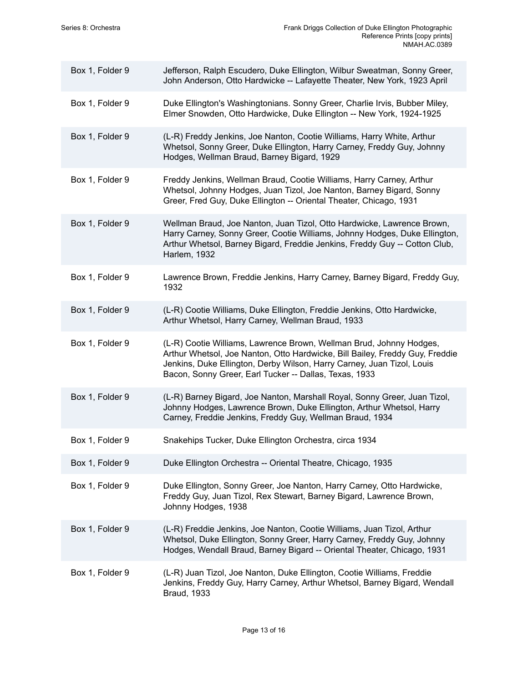| Box 1, Folder 9 | Jefferson, Ralph Escudero, Duke Ellington, Wilbur Sweatman, Sonny Greer,<br>John Anderson, Otto Hardwicke -- Lafayette Theater, New York, 1923 April                                                                                                                                    |
|-----------------|-----------------------------------------------------------------------------------------------------------------------------------------------------------------------------------------------------------------------------------------------------------------------------------------|
| Box 1, Folder 9 | Duke Ellington's Washingtonians. Sonny Greer, Charlie Irvis, Bubber Miley,<br>Elmer Snowden, Otto Hardwicke, Duke Ellington -- New York, 1924-1925                                                                                                                                      |
| Box 1, Folder 9 | (L-R) Freddy Jenkins, Joe Nanton, Cootie Williams, Harry White, Arthur<br>Whetsol, Sonny Greer, Duke Ellington, Harry Carney, Freddy Guy, Johnny<br>Hodges, Wellman Braud, Barney Bigard, 1929                                                                                          |
| Box 1, Folder 9 | Freddy Jenkins, Wellman Braud, Cootie Williams, Harry Carney, Arthur<br>Whetsol, Johnny Hodges, Juan Tizol, Joe Nanton, Barney Bigard, Sonny<br>Greer, Fred Guy, Duke Ellington -- Oriental Theater, Chicago, 1931                                                                      |
| Box 1, Folder 9 | Wellman Braud, Joe Nanton, Juan Tizol, Otto Hardwicke, Lawrence Brown,<br>Harry Carney, Sonny Greer, Cootie Williams, Johnny Hodges, Duke Ellington,<br>Arthur Whetsol, Barney Bigard, Freddie Jenkins, Freddy Guy -- Cotton Club,<br>Harlem, 1932                                      |
| Box 1, Folder 9 | Lawrence Brown, Freddie Jenkins, Harry Carney, Barney Bigard, Freddy Guy,<br>1932                                                                                                                                                                                                       |
| Box 1, Folder 9 | (L-R) Cootie Williams, Duke Ellington, Freddie Jenkins, Otto Hardwicke,<br>Arthur Whetsol, Harry Carney, Wellman Braud, 1933                                                                                                                                                            |
| Box 1, Folder 9 | (L-R) Cootie Williams, Lawrence Brown, Wellman Brud, Johnny Hodges,<br>Arthur Whetsol, Joe Nanton, Otto Hardwicke, Bill Bailey, Freddy Guy, Freddie<br>Jenkins, Duke Ellington, Derby Wilson, Harry Carney, Juan Tizol, Louis<br>Bacon, Sonny Greer, Earl Tucker -- Dallas, Texas, 1933 |
| Box 1, Folder 9 | (L-R) Barney Bigard, Joe Nanton, Marshall Royal, Sonny Greer, Juan Tizol,<br>Johnny Hodges, Lawrence Brown, Duke Ellington, Arthur Whetsol, Harry<br>Carney, Freddie Jenkins, Freddy Guy, Wellman Braud, 1934                                                                           |
| Box 1, Folder 9 | Snakehips Tucker, Duke Ellington Orchestra, circa 1934                                                                                                                                                                                                                                  |
| Box 1, Folder 9 | Duke Ellington Orchestra -- Oriental Theatre, Chicago, 1935                                                                                                                                                                                                                             |
| Box 1, Folder 9 | Duke Ellington, Sonny Greer, Joe Nanton, Harry Carney, Otto Hardwicke,<br>Freddy Guy, Juan Tizol, Rex Stewart, Barney Bigard, Lawrence Brown,<br>Johnny Hodges, 1938                                                                                                                    |
| Box 1, Folder 9 | (L-R) Freddie Jenkins, Joe Nanton, Cootie Williams, Juan Tizol, Arthur<br>Whetsol, Duke Ellington, Sonny Greer, Harry Carney, Freddy Guy, Johnny<br>Hodges, Wendall Braud, Barney Bigard -- Oriental Theater, Chicago, 1931                                                             |
| Box 1, Folder 9 | (L-R) Juan Tizol, Joe Nanton, Duke Ellington, Cootie Williams, Freddie<br>Jenkins, Freddy Guy, Harry Carney, Arthur Whetsol, Barney Bigard, Wendall<br><b>Braud, 1933</b>                                                                                                               |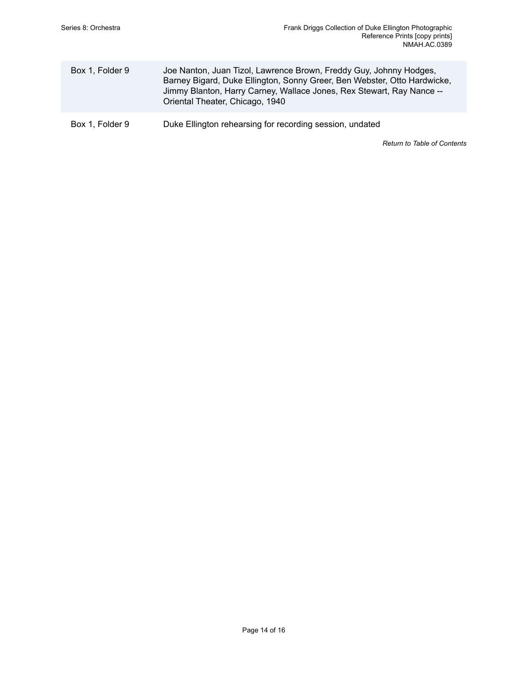| Box 1, Folder 9 | Joe Nanton, Juan Tizol, Lawrence Brown, Freddy Guy, Johnny Hodges,<br>Barney Bigard, Duke Ellington, Sonny Greer, Ben Webster, Otto Hardwicke,<br>Jimmy Blanton, Harry Carney, Wallace Jones, Rex Stewart, Ray Nance --<br>Oriental Theater, Chicago, 1940 |
|-----------------|------------------------------------------------------------------------------------------------------------------------------------------------------------------------------------------------------------------------------------------------------------|
| Box 1, Folder 9 | Duke Ellington rehearsing for recording session, undated                                                                                                                                                                                                   |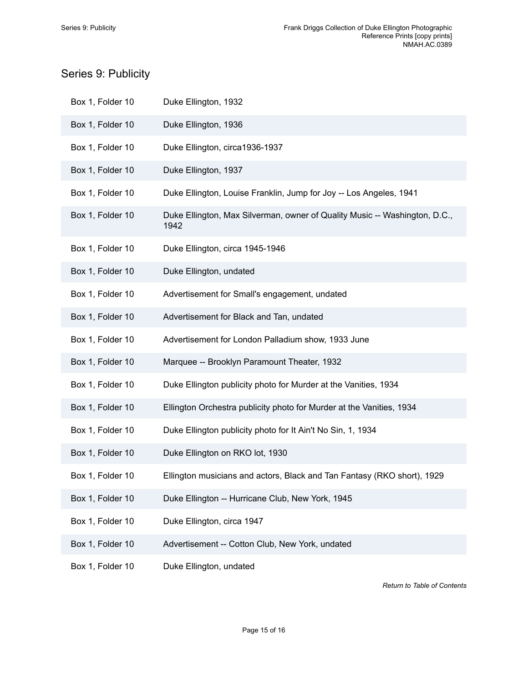## <span id="page-16-0"></span>Series 9: Publicity

| Box 1, Folder 10 | Duke Ellington, 1932                                                               |
|------------------|------------------------------------------------------------------------------------|
| Box 1, Folder 10 | Duke Ellington, 1936                                                               |
| Box 1, Folder 10 | Duke Ellington, circa1936-1937                                                     |
| Box 1, Folder 10 | Duke Ellington, 1937                                                               |
| Box 1, Folder 10 | Duke Ellington, Louise Franklin, Jump for Joy -- Los Angeles, 1941                 |
| Box 1, Folder 10 | Duke Ellington, Max Silverman, owner of Quality Music -- Washington, D.C.,<br>1942 |
| Box 1, Folder 10 | Duke Ellington, circa 1945-1946                                                    |
| Box 1, Folder 10 | Duke Ellington, undated                                                            |
| Box 1, Folder 10 | Advertisement for Small's engagement, undated                                      |
| Box 1, Folder 10 | Advertisement for Black and Tan, undated                                           |
| Box 1, Folder 10 | Advertisement for London Palladium show, 1933 June                                 |
| Box 1, Folder 10 | Marquee -- Brooklyn Paramount Theater, 1932                                        |
| Box 1, Folder 10 | Duke Ellington publicity photo for Murder at the Vanities, 1934                    |
| Box 1, Folder 10 | Ellington Orchestra publicity photo for Murder at the Vanities, 1934               |
| Box 1, Folder 10 | Duke Ellington publicity photo for It Ain't No Sin, 1, 1934                        |
| Box 1, Folder 10 | Duke Ellington on RKO lot, 1930                                                    |
| Box 1, Folder 10 | Ellington musicians and actors, Black and Tan Fantasy (RKO short), 1929            |
| Box 1, Folder 10 | Duke Ellington -- Hurricane Club, New York, 1945                                   |
| Box 1, Folder 10 | Duke Ellington, circa 1947                                                         |
| Box 1, Folder 10 | Advertisement -- Cotton Club, New York, undated                                    |
| Box 1, Folder 10 | Duke Ellington, undated                                                            |